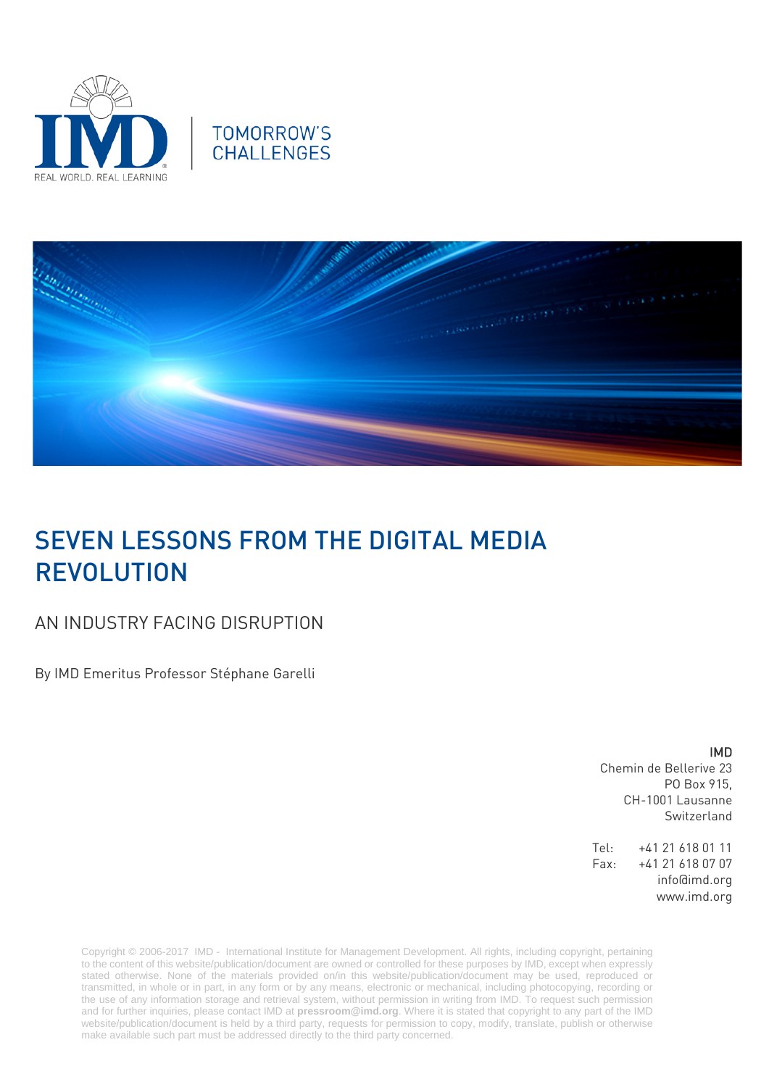





## SEVEN LESSONS FROM THE DIGITAL MEDIA REVOLUTION

## AN INDUSTRY FACING DISRUPTION

By IMD Emeritus Professor Stéphane Garelli

## IMD

Chemin de Bellerive 23 PO Box 915, CH-1001 Lausanne Switzerland

Tel: +41 21 618 01 11 Fax: +41 21 618 07 07 info@imd.org www.imd.org

Copyright © 2006-2017 IMD - International Institute for Management Development. All rights, including copyright, pertaining to the content of this website/publication/document are owned or controlled for these purposes by IMD, except when expressly stated otherwise. None of the materials provided on/in this website/publication/document may be used, reproduced or transmitted, in whole or in part, in any form or by any means, electronic or mechanical, including photocopying, recording or the use of any information storage and retrieval system, without permission in writing from IMD. To request such permission and for further inquiries, please contact IMD at **[pressroom@imd.org](mailto:pressroom@imd.org)**. Where it is stated that copyright to any part of the IMD website/publication/document is held by a third party, requests for permission to copy, modify, translate, publish or otherwise make available such part must be addressed directly to the third party concerned.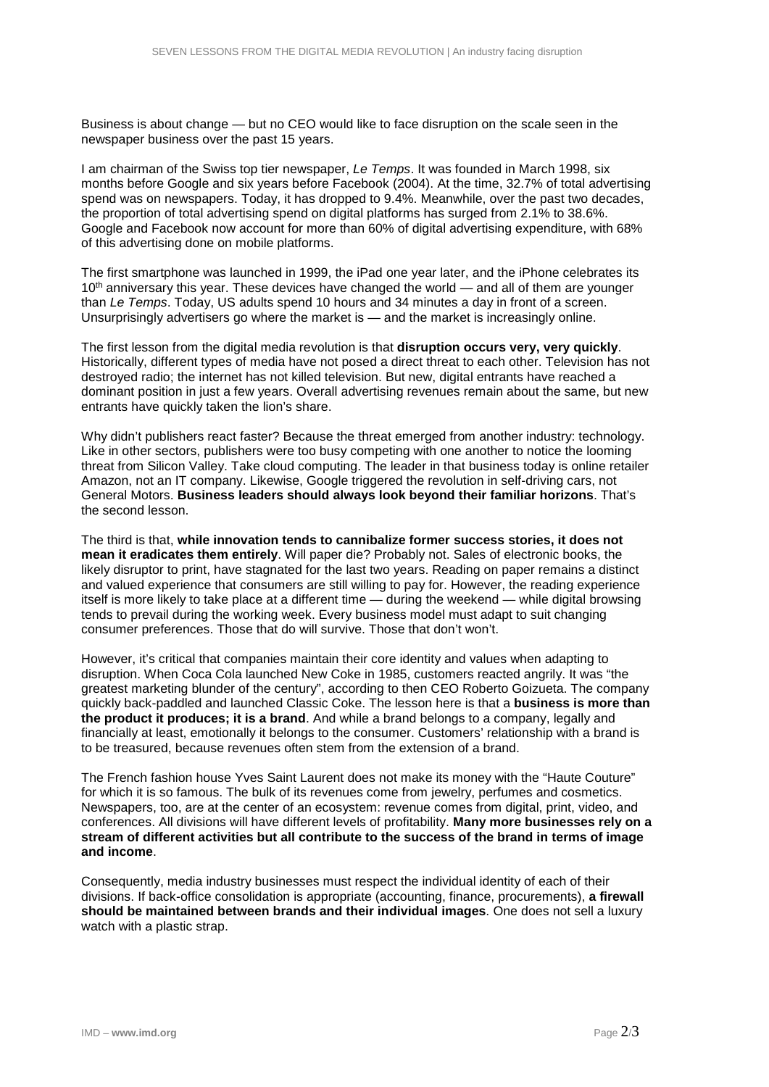Business is about change — but no CEO would like to face disruption on the scale seen in the newspaper business over the past 15 years.

I am chairman of the Swiss top tier newspaper, *Le Temps*. It was founded in March 1998, six months before Google and six years before Facebook (2004). At the time, 32.7% of total advertising spend was on newspapers. Today, it has dropped to 9.4%. Meanwhile, over the past two decades, the proportion of total advertising spend on digital platforms has surged from 2.1% to 38.6%. Google and Facebook now account for more than 60% of digital advertising expenditure, with 68% of this advertising done on mobile platforms.

The first smartphone was launched in 1999, the iPad one year later, and the iPhone celebrates its  $10<sup>th</sup>$  anniversary this year. These devices have changed the world — and all of them are younger than *Le Temps*. Today, US adults spend 10 hours and 34 minutes a day in front of a screen. Unsurprisingly advertisers go where the market is — and the market is increasingly online.

The first lesson from the digital media revolution is that **disruption occurs very, very quickly**. Historically, different types of media have not posed a direct threat to each other. Television has not destroyed radio; the internet has not killed television. But new, digital entrants have reached a dominant position in just a few years. Overall advertising revenues remain about the same, but new entrants have quickly taken the lion's share.

Why didn't publishers react faster? Because the threat emerged from another industry: technology. Like in other sectors, publishers were too busy competing with one another to notice the looming threat from Silicon Valley. Take cloud computing. The leader in that business today is online retailer Amazon, not an IT company. Likewise, Google triggered the revolution in self-driving cars, not General Motors. **Business leaders should always look beyond their familiar horizons**. That's the second lesson.

The third is that, **while innovation tends to cannibalize former success stories, it does not mean it eradicates them entirely**. Will paper die? Probably not. Sales of electronic books, the likely disruptor to print, have stagnated for the last two years. Reading on paper remains a distinct and valued experience that consumers are still willing to pay for. However, the reading experience itself is more likely to take place at a different time — during the weekend — while digital browsing tends to prevail during the working week. Every business model must adapt to suit changing consumer preferences. Those that do will survive. Those that don't won't.

However, it's critical that companies maintain their core identity and values when adapting to disruption. When Coca Cola launched New Coke in 1985, customers reacted angrily. It was "the greatest marketing blunder of the century", according to then CEO Roberto Goizueta. The company quickly back-paddled and launched Classic Coke. The lesson here is that a **business is more than the product it produces; it is a brand**. And while a brand belongs to a company, legally and financially at least, emotionally it belongs to the consumer. Customers' relationship with a brand is to be treasured, because revenues often stem from the extension of a brand.

The French fashion house Yves Saint Laurent does not make its money with the "Haute Couture" for which it is so famous. The bulk of its revenues come from jewelry, perfumes and cosmetics. Newspapers, too, are at the center of an ecosystem: revenue comes from digital, print, video, and conferences. All divisions will have different levels of profitability. **Many more businesses rely on a stream of different activities but all contribute to the success of the brand in terms of image and income**.

Consequently, media industry businesses must respect the individual identity of each of their divisions. If back-office consolidation is appropriate (accounting, finance, procurements), **a firewall should be maintained between brands and their individual images**. One does not sell a luxury watch with a plastic strap.